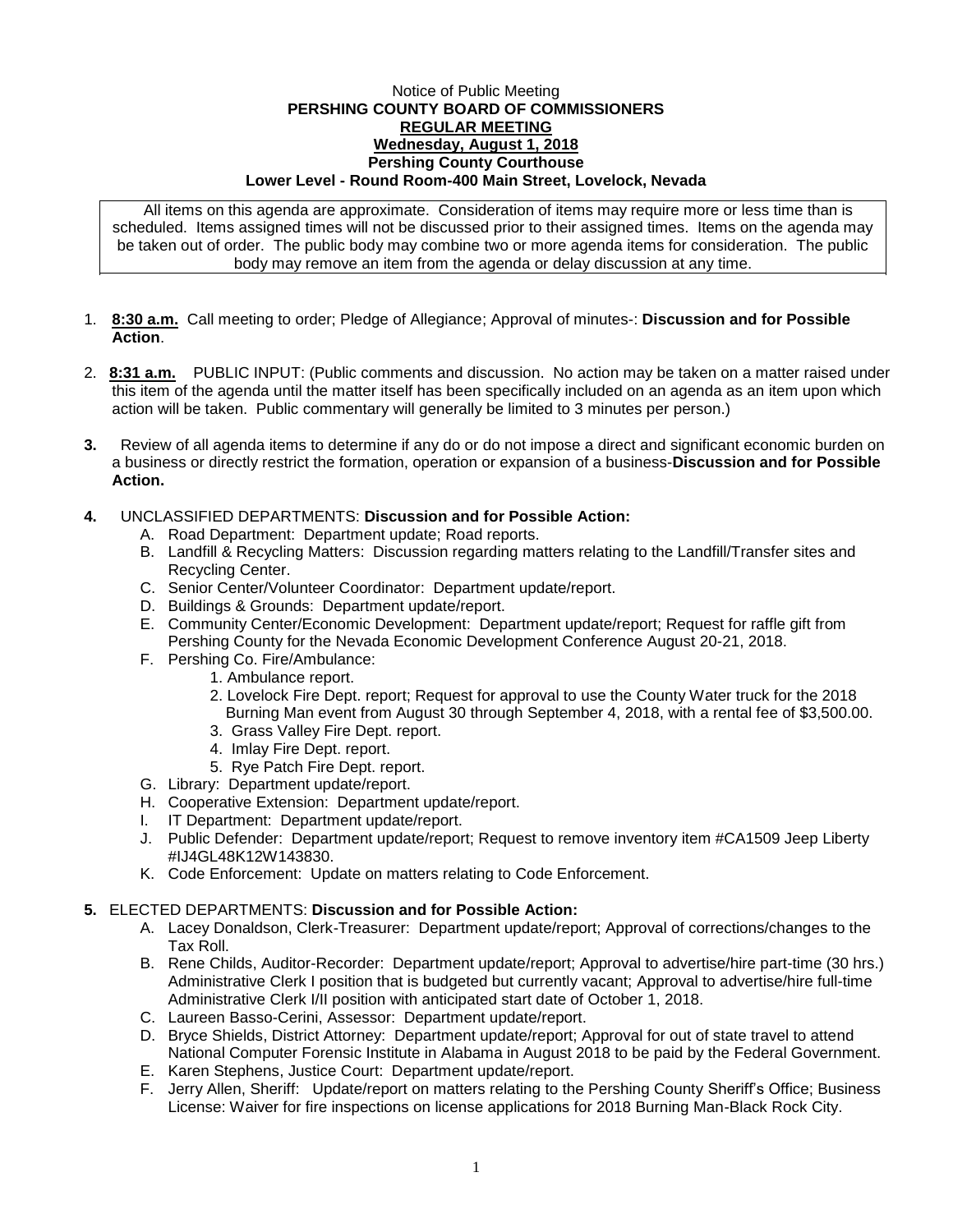## Notice of Public Meeting **PERSHING COUNTY BOARD OF COMMISSIONERS REGULAR MEETING Wednesday, August 1, 2018 Pershing County Courthouse Lower Level - Round Room-400 Main Street, Lovelock, Nevada**

All items on this agenda are approximate. Consideration of items may require more or less time than is scheduled. Items assigned times will not be discussed prior to their assigned times. Items on the agenda may be taken out of order. The public body may combine two or more agenda items for consideration. The public body may remove an item from the agenda or delay discussion at any time.

- 1. **8:30 a.m.** Call meeting to order; Pledge of Allegiance; Approval of minutes-: **Discussion and for Possible Action**.
- 2. **8:31 a.m.** PUBLIC INPUT: (Public comments and discussion. No action may be taken on a matter raised under this item of the agenda until the matter itself has been specifically included on an agenda as an item upon which action will be taken. Public commentary will generally be limited to 3 minutes per person.)
- **3.** Review of all agenda items to determine if any do or do not impose a direct and significant economic burden on a business or directly restrict the formation, operation or expansion of a business-**Discussion and for Possible Action.**

## **4.** UNCLASSIFIED DEPARTMENTS: **Discussion and for Possible Action:**

- A. Road Department: Department update; Road reports.
- B. Landfill & Recycling Matters: Discussion regarding matters relating to the Landfill/Transfer sites and Recycling Center.
- C. Senior Center/Volunteer Coordinator: Department update/report.
- D. Buildings & Grounds: Department update/report.
- E. Community Center/Economic Development: Department update/report; Request for raffle gift from Pershing County for the Nevada Economic Development Conference August 20-21, 2018.
- F. Pershing Co. Fire/Ambulance:
	- 1. Ambulance report.
	- 2. Lovelock Fire Dept. report; Request for approval to use the County Water truck for the 2018 Burning Man event from August 30 through September 4, 2018, with a rental fee of \$3,500.00.
	- 3. Grass Valley Fire Dept. report.
	- 4. Imlay Fire Dept. report.
	- 5. Rye Patch Fire Dept. report.
- G. Library: Department update/report.
- H. Cooperative Extension: Department update/report.
- I. IT Department: Department update/report.
- J. Public Defender: Department update/report; Request to remove inventory item #CA1509 Jeep Liberty #IJ4GL48K12W143830.
- K. Code Enforcement: Update on matters relating to Code Enforcement.

## **5.** ELECTED DEPARTMENTS: **Discussion and for Possible Action:**

- A. Lacey Donaldson, Clerk-Treasurer: Department update/report; Approval of corrections/changes to the Tax Roll.
- B. Rene Childs, Auditor-Recorder: Department update/report; Approval to advertise/hire part-time (30 hrs.) Administrative Clerk I position that is budgeted but currently vacant; Approval to advertise/hire full-time Administrative Clerk I/II position with anticipated start date of October 1, 2018.
- C. Laureen Basso-Cerini, Assessor: Department update/report.
- D. Bryce Shields, District Attorney: Department update/report; Approval for out of state travel to attend National Computer Forensic Institute in Alabama in August 2018 to be paid by the Federal Government.
- E. Karen Stephens, Justice Court: Department update/report.
- F. Jerry Allen, Sheriff: Update/report on matters relating to the Pershing County Sheriff's Office; Business License: Waiver for fire inspections on license applications for 2018 Burning Man-Black Rock City.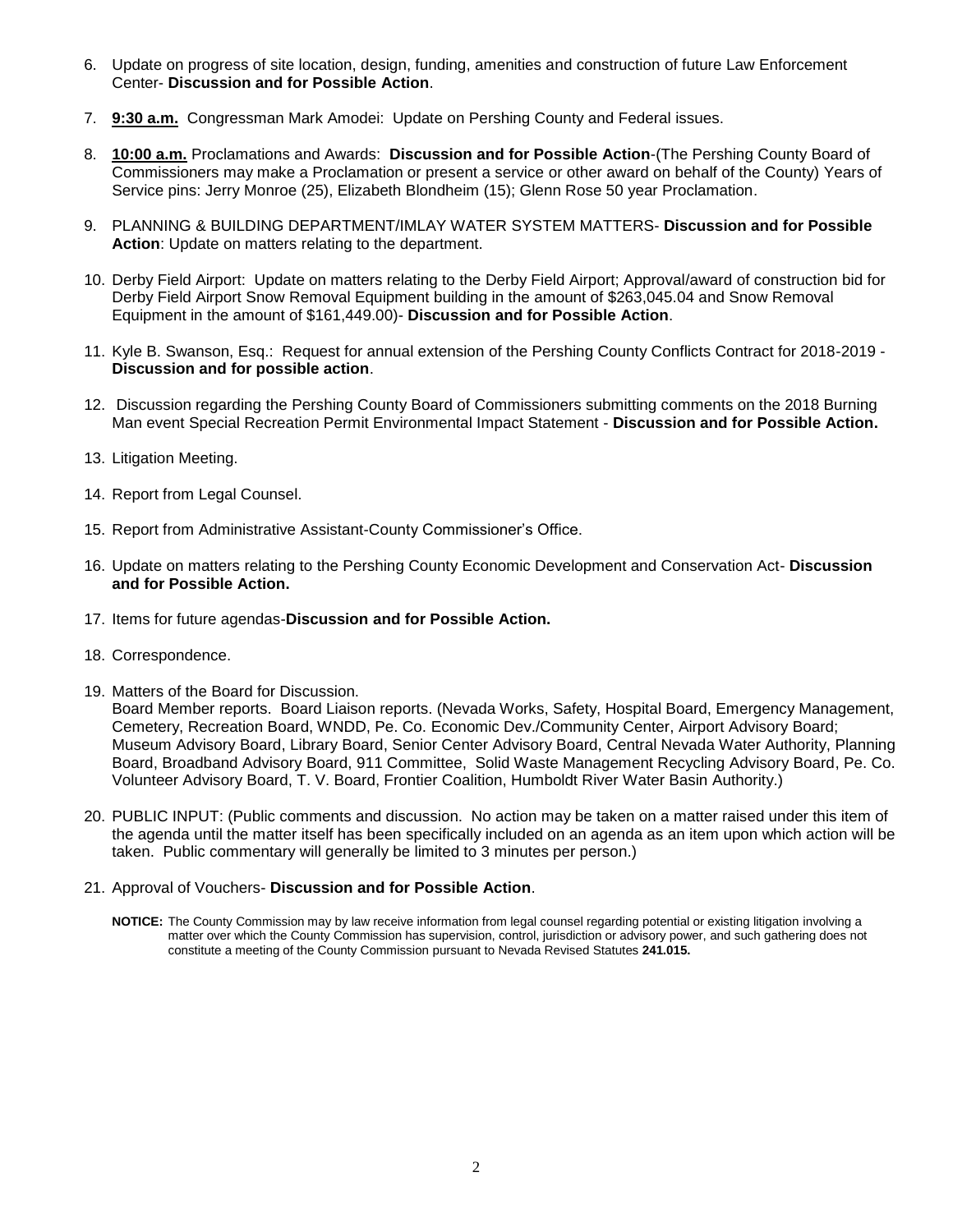- 6. Update on progress of site location, design, funding, amenities and construction of future Law Enforcement Center- **Discussion and for Possible Action**.
- 7. **9:30 a.m.** Congressman Mark Amodei: Update on Pershing County and Federal issues.
- 8. **10:00 a.m.** Proclamations and Awards: **Discussion and for Possible Action**-(The Pershing County Board of Commissioners may make a Proclamation or present a service or other award on behalf of the County) Years of Service pins: Jerry Monroe (25), Elizabeth Blondheim (15); Glenn Rose 50 year Proclamation.
- 9. PLANNING & BUILDING DEPARTMENT/IMLAY WATER SYSTEM MATTERS- **Discussion and for Possible Action**: Update on matters relating to the department.
- 10. Derby Field Airport: Update on matters relating to the Derby Field Airport; Approval/award of construction bid for Derby Field Airport Snow Removal Equipment building in the amount of \$263,045.04 and Snow Removal Equipment in the amount of \$161,449.00)- **Discussion and for Possible Action**.
- 11. Kyle B. Swanson, Esq.: Request for annual extension of the Pershing County Conflicts Contract for 2018-2019 **Discussion and for possible action**.
- 12. Discussion regarding the Pershing County Board of Commissioners submitting comments on the 2018 Burning Man event Special Recreation Permit Environmental Impact Statement - **Discussion and for Possible Action.**
- 13. Litigation Meeting.
- 14. Report from Legal Counsel.
- 15. Report from Administrative Assistant-County Commissioner's Office.
- 16. Update on matters relating to the Pershing County Economic Development and Conservation Act- **Discussion and for Possible Action.**
- 17. Items for future agendas-**Discussion and for Possible Action.**
- 18. Correspondence.
- 19. Matters of the Board for Discussion.

Board Member reports. Board Liaison reports. (Nevada Works, Safety, Hospital Board, Emergency Management, Cemetery, Recreation Board, WNDD, Pe. Co. Economic Dev./Community Center, Airport Advisory Board; Museum Advisory Board, Library Board, Senior Center Advisory Board, Central Nevada Water Authority, Planning Board, Broadband Advisory Board, 911 Committee, Solid Waste Management Recycling Advisory Board, Pe. Co. Volunteer Advisory Board, T. V. Board, Frontier Coalition, Humboldt River Water Basin Authority.)

- 20. PUBLIC INPUT: (Public comments and discussion. No action may be taken on a matter raised under this item of the agenda until the matter itself has been specifically included on an agenda as an item upon which action will be taken. Public commentary will generally be limited to 3 minutes per person.)
- 21. Approval of Vouchers- **Discussion and for Possible Action**.
	- **NOTICE:** The County Commission may by law receive information from legal counsel regarding potential or existing litigation involving a matter over which the County Commission has supervision, control, jurisdiction or advisory power, and such gathering does not constitute a meeting of the County Commission pursuant to Nevada Revised Statutes **241.015.**